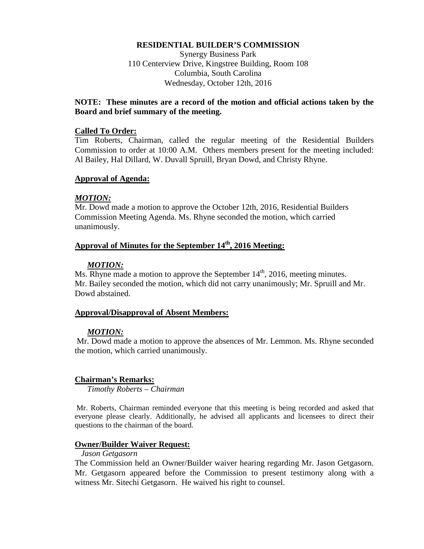#### **RESIDENTIAL BUILDER'S COMMISSION**

Synergy Business Park 110 Centerview Drive, Kingstree Building, Room 108 Columbia, South Carolina Wednesday, October 12th, 2016

## **NOTE: These minutes are a record of the motion and official actions taken by the Board and brief summary of the meeting.**

#### **Called To Order:**

Tim Roberts, Chairman, called the regular meeting of the Residential Builders Commission to order at 10:00 A.M. Others members present for the meeting included: Al Bailey, Hal Dillard, W. Duvall Spruill, Bryan Dowd, and Christy Rhyne.

#### **Approval of Agenda:**

#### *MOTION:*

Mr. Dowd made a motion to approve the October 12th, 2016, Residential Builders Commission Meeting Agenda. Ms. Rhyne seconded the motion, which carried unanimously.

## Approval of Minutes for the September 14<sup>th</sup>, 2016 Meeting:

#### *MOTION:*

Ms. Rhyne made a motion to approve the September  $14<sup>th</sup>$ , 2016, meeting minutes. Mr. Bailey seconded the motion, which did not carry unanimously; Mr. Spruill and Mr. Dowd abstained.

## **Approval/Disapproval of Absent Members:**

#### *MOTION:*

Mr. Dowd made a motion to approve the absences of Mr. Lemmon. Ms. Rhyne seconded the motion, which carried unanimously.

## **Chairman's Remarks:**

*Timothy Roberts – Chairman*

Mr. Roberts, Chairman reminded everyone that this meeting is being recorded and asked that everyone please clearly. Additionally, he advised all applicants and licensees to direct their questions to the chairman of the board.

## **Owner/Builder Waiver Request:**

#### *Jason Getgasorn*

The Commission held an Owner/Builder waiver hearing regarding Mr. Jason Getgasorn. Mr. Getgasorn appeared before the Commission to present testimony along with a witness Mr. Sitechi Getgasorn. He waived his right to counsel.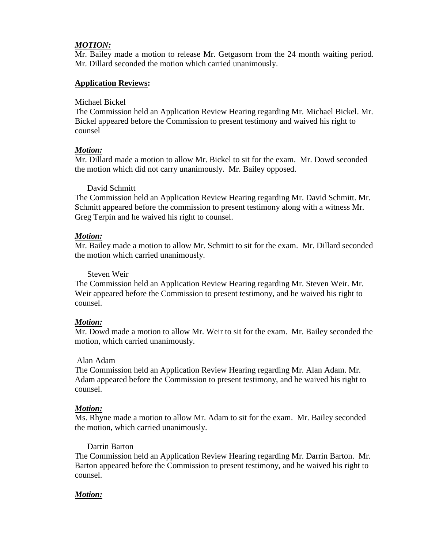## *MOTION:*

Mr. Bailey made a motion to release Mr. Getgasorn from the 24 month waiting period. Mr. Dillard seconded the motion which carried unanimously.

## **Application Reviews:**

#### Michael Bickel

The Commission held an Application Review Hearing regarding Mr. Michael Bickel. Mr. Bickel appeared before the Commission to present testimony and waived his right to counsel

## *Motion:*

Mr. Dillard made a motion to allow Mr. Bickel to sit for the exam. Mr. Dowd seconded the motion which did not carry unanimously. Mr. Bailey opposed.

#### David Schmitt

The Commission held an Application Review Hearing regarding Mr. David Schmitt. Mr. Schmitt appeared before the commission to present testimony along with a witness Mr. Greg Terpin and he waived his right to counsel.

#### *Motion:*

Mr. Bailey made a motion to allow Mr. Schmitt to sit for the exam. Mr. Dillard seconded the motion which carried unanimously.

#### Steven Weir

The Commission held an Application Review Hearing regarding Mr. Steven Weir. Mr. Weir appeared before the Commission to present testimony, and he waived his right to counsel.

## *Motion:*

Mr. Dowd made a motion to allow Mr. Weir to sit for the exam. Mr. Bailey seconded the motion, which carried unanimously.

#### Alan Adam

The Commission held an Application Review Hearing regarding Mr. Alan Adam. Mr. Adam appeared before the Commission to present testimony, and he waived his right to counsel.

#### *Motion:*

Ms. Rhyne made a motion to allow Mr. Adam to sit for the exam. Mr. Bailey seconded the motion, which carried unanimously.

#### Darrin Barton

The Commission held an Application Review Hearing regarding Mr. Darrin Barton. Mr. Barton appeared before the Commission to present testimony, and he waived his right to counsel.

## *Motion:*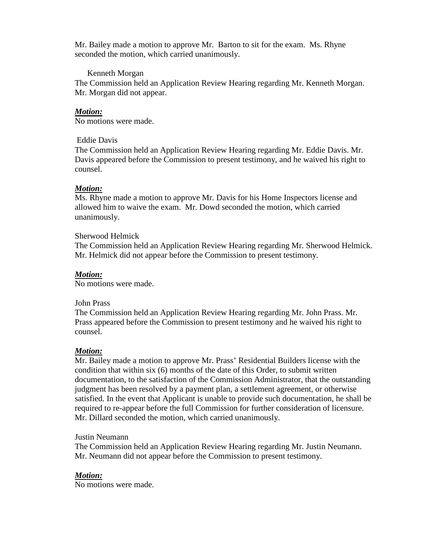Mr. Bailey made a motion to approve Mr. Barton to sit for the exam. Ms. Rhyne seconded the motion, which carried unanimously.

Kenneth Morgan

The Commission held an Application Review Hearing regarding Mr. Kenneth Morgan. Mr. Morgan did not appear.

## *Motion:*

No motions were made.

Eddie Davis

The Commission held an Application Review Hearing regarding Mr. Eddie Davis. Mr. Davis appeared before the Commission to present testimony, and he waived his right to counsel.

## *Motion:*

Ms. Rhyne made a motion to approve Mr. Davis for his Home Inspectors license and allowed him to waive the exam. Mr. Dowd seconded the motion, which carried unanimously.

## Sherwood Helmick

The Commission held an Application Review Hearing regarding Mr. Sherwood Helmick. Mr. Helmick did not appear before the Commission to present testimony.

# *Motion:*

No motions were made.

## John Prass

The Commission held an Application Review Hearing regarding Mr. John Prass. Mr. Prass appeared before the Commission to present testimony and he waived his right to counsel.

## *Motion:*

Mr. Bailey made a motion to approve Mr. Prass' Residential Builders license with the condition that within six (6) months of the date of this Order, to submit written documentation, to the satisfaction of the Commission Administrator, that the outstanding judgment has been resolved by a payment plan, a settlement agreement, or otherwise satisfied. In the event that Applicant is unable to provide such documentation, he shall be required to re-appear before the full Commission for further consideration of licensure. Mr. Dillard seconded the motion, which carried unanimously.

## Justin Neumann

The Commission held an Application Review Hearing regarding Mr. Justin Neumann. Mr. Neumann did not appear before the Commission to present testimony.

## *Motion:*

No motions were made.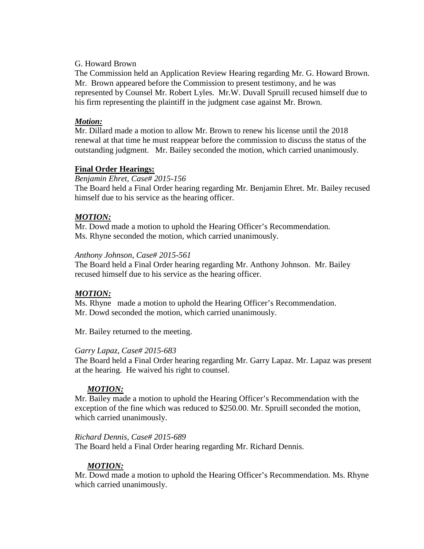## G. Howard Brown

The Commission held an Application Review Hearing regarding Mr. G. Howard Brown. Mr. Brown appeared before the Commission to present testimony, and he was represented by Counsel Mr. Robert Lyles. Mr.W. Duvall Spruill recused himself due to his firm representing the plaintiff in the judgment case against Mr. Brown.

## *Motion:*

Mr. Dillard made a motion to allow Mr. Brown to renew his license until the 2018 renewal at that time he must reappear before the commission to discuss the status of the outstanding judgment. Mr. Bailey seconded the motion, which carried unanimously.

# **Final Order Hearings:**

*Benjamin Ehret, Case# 2015-156*

The Board held a Final Order hearing regarding Mr. Benjamin Ehret. Mr. Bailey recused himself due to his service as the hearing officer.

# *MOTION:*

Mr. Dowd made a motion to uphold the Hearing Officer's Recommendation. Ms. Rhyne seconded the motion, which carried unanimously.

## *Anthony Johnson, Case# 2015-561*

The Board held a Final Order hearing regarding Mr. Anthony Johnson. Mr. Bailey recused himself due to his service as the hearing officer.

## *MOTION:*

Ms. Rhyne made a motion to uphold the Hearing Officer's Recommendation. Mr. Dowd seconded the motion, which carried unanimously.

Mr. Bailey returned to the meeting.

## *Garry Lapaz, Case# 2015-683*

The Board held a Final Order hearing regarding Mr. Garry Lapaz. Mr. Lapaz was present at the hearing. He waived his right to counsel.

# *MOTION:*

Mr. Bailey made a motion to uphold the Hearing Officer's Recommendation with the exception of the fine which was reduced to \$250.00. Mr. Spruill seconded the motion, which carried unanimously.

## *Richard Dennis, Case# 2015-689*

The Board held a Final Order hearing regarding Mr. Richard Dennis.

## *MOTION:*

Mr. Dowd made a motion to uphold the Hearing Officer's Recommendation. Ms. Rhyne which carried unanimously.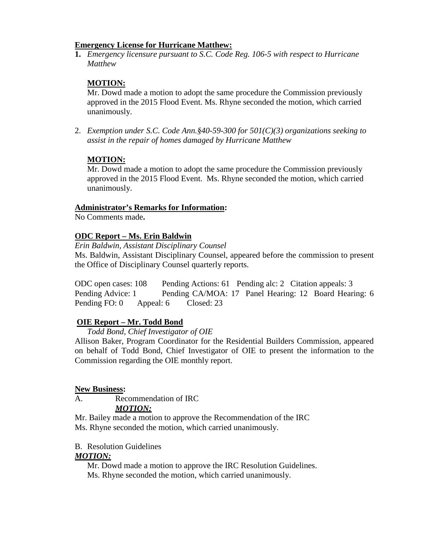## **Emergency License for Hurricane Matthew:**

**1.** *Emergency licensure pursuant to S.C. Code Reg. 106-5 with respect to Hurricane Matthew* 

# **MOTION:**

Mr. Dowd made a motion to adopt the same procedure the Commission previously approved in the 2015 Flood Event. Ms. Rhyne seconded the motion, which carried unanimously.

2. *Exemption under S.C. Code Ann.§40-59-300 for 501(C)(3) organizations seeking to assist in the repair of homes damaged by Hurricane Matthew*

# **MOTION:**

Mr. Dowd made a motion to adopt the same procedure the Commission previously approved in the 2015 Flood Event. Ms. Rhyne seconded the motion, which carried unanimously.

# **Administrator's Remarks for Information:**

No Comments made**.** 

# **ODC Report – Ms. Erin Baldwin**

*Erin Baldwin, Assistant Disciplinary Counsel*

Ms. Baldwin, Assistant Disciplinary Counsel, appeared before the commission to present the Office of Disciplinary Counsel quarterly reports.

ODC open cases: 108 Pending Actions: 61 Pending alc: 2 Citation appeals: 3 Pending Advice: 1 Pending CA/MOA: 17 Panel Hearing: 12 Board Hearing: 6 Pending FO: 0 Appeal: 6 Closed: 23

# **OIE Report – Mr. Todd Bond**

# *Todd Bond, Chief Investigator of OIE*

Allison Baker, Program Coordinator for the Residential Builders Commission, appeared on behalf of Todd Bond, Chief Investigator of OIE to present the information to the Commission regarding the OIE monthly report.

# **New Business:**

# A. Recommendation of IRC *MOTION:*

Mr. Bailey made a motion to approve the Recommendation of the IRC Ms. Rhyne seconded the motion, which carried unanimously.

# B. Resolution Guidelines

# *MOTION:*

Mr. Dowd made a motion to approve the IRC Resolution Guidelines. Ms. Rhyne seconded the motion, which carried unanimously.